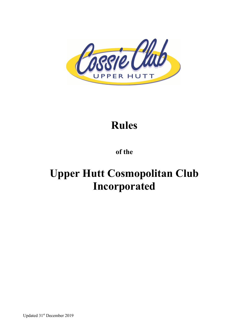

# **Rules**

# **of the**

# **Upper Hutt Cosmopolitan Club Incorporated**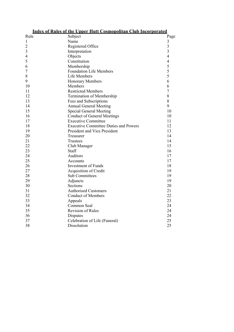| <b>Index of Rules of the Upper Hutt Cosmopolitan Club Incorporated</b> |                                              |                |
|------------------------------------------------------------------------|----------------------------------------------|----------------|
| Rule                                                                   | Subject                                      | Page           |
| 1                                                                      | Name                                         | $\mathfrak{Z}$ |
| $\overline{c}$                                                         | Registered Office                            | $\overline{3}$ |
| 3                                                                      | Interpretation                               | $\overline{3}$ |
| 4                                                                      | Objects                                      | $\overline{4}$ |
| 5                                                                      | Constitution                                 | $\overline{4}$ |
| 6                                                                      | Membership                                   | 5              |
| 7                                                                      | <b>Foundation Life Members</b>               | 5              |
| 8                                                                      | Life Members                                 | 5              |
| 9                                                                      | <b>Honorary Members</b>                      | 6              |
| 10                                                                     | Members                                      | 6              |
| 11                                                                     | <b>Restricted Members</b>                    | $\overline{7}$ |
| 12                                                                     | Termination of Membership                    | 8              |
| 13                                                                     | Fees and Subscriptions                       | 8              |
| 14                                                                     | <b>Annual General Meeting</b>                | 9              |
| 15                                                                     | <b>Special General Meeting</b>               | 10             |
| 16                                                                     | <b>Conduct of General Meetings</b>           | 10             |
| 17                                                                     | <b>Executive Committee</b>                   | 11             |
| 18                                                                     | <b>Executive Committee Duties and Powers</b> | 12             |
| 19                                                                     | <b>President and Vice President</b>          | 13             |
| 20                                                                     | Treasurer                                    | 14             |
| 21                                                                     | Trustees                                     | 14             |
| 22                                                                     | Club Manager                                 | 15             |
| 23                                                                     | Staff                                        | 16             |
| 24                                                                     | Auditors                                     | 17             |
| 25                                                                     | Accounts                                     | 17             |
| 26                                                                     | <b>Investment of Funds</b>                   | 18             |
| 27                                                                     | Acquisition of Credit                        | 19             |
| 28                                                                     | <b>Sub Committees</b>                        | 19             |
| 29                                                                     | Adjuncts                                     | 19             |
| 30                                                                     | Sections                                     | 20             |
| 31                                                                     | <b>Authorised Customers</b>                  | 21             |
| 32                                                                     | <b>Conduct of Members</b>                    | 22             |
| 33                                                                     | Appeals                                      | 23             |
| 34                                                                     | Common Seal                                  | 24             |
| 35                                                                     | <b>Revision of Rules</b>                     | 24             |
| 36                                                                     | Disputes                                     | 24             |
| 37                                                                     | Celebration of Life (Funeral)                | 25             |
| 38                                                                     | Dissolution                                  | 25             |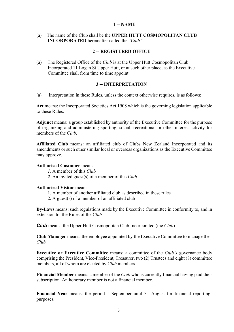#### **1 -- NAME**

(a) The name of the Club shall be the **UPPER HUTT COSMOPOLITAN CLUB INCORPORATED** hereinafter called the "*Club.*"

#### **2 -- REGISTERED OFFICE**

(a) The Registered Office of the *Club* is at the Upper Hutt Cosmopolitan Club Incorporated 11 Logan St Upper Hutt, or at such other place, as the Executive Committee shall from time to time appoint.

#### **3 -- INTERPRETATION**

(a) Interpretation in these Rules, unless the context otherwise requires, is as follows:

**Act** means: the Incorporated Societies Act 1908 which is the governing legislation applicable to these Rules.

**Adjunct** means: a group established by authority of the Executive Committee for the purpose of organizing and administering sporting, social, recreational or other interest activity for members of the *Club.*

**Affiliated Club** means: an affiliated club of Clubs New Zealand Incorporated and its amendments or such other similar local or overseas organizations as the Executive Committee may approve.

#### **Authorised Customer** means

- *1.* A member of this *Club*
- *2.* An invited guest(s) of a member of this *Club*

#### **Authorised Visitor** means

- 1. A member of another affiliated club as described in these rules
- 2. A guest(s) of a member of an affiliated club

**By-Laws** means: such regulations made by the Executive Committee in conformity to, and in extension to, the Rules of the *Club.*

*Club* means: the Upper Hutt Cosmopolitan Club Incorporated (the *Club*).

**Club Manager** means: the employee appointed by the Executive Committee to manage the *Club.*

**Executive or Executive Committee** means: a committee of the *Club's* governance body comprising the President, Vice-President, Treasurer, two (2) Trustees and eight (8) committee members, all of whom are elected by *Club* members.

**Financial Member** means: a member of the *Club* who is currently financial having paid their subscription. An honorary member is not a financial member.

**Financial Year** means: the period 1 September until 31 August for financial reporting purposes.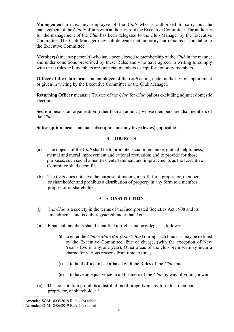**Management** means: any employee of the *Club* who is authorised to carry out the management of the *Club's* affairs with authority from the Executive Committee. The authority for the management of the *Club* has been delegated to the Club Manager by the Executive Committee. The Club Manager may sub-delegate that authority but remains accountable to the Executive Committee.

**Member(s)** means: person(s) who have been elected to membership of the *Club* in the manner and under conditions prescribed by these Rules and who have agreed in writing to comply with these rules. All members are financial members except for honorary members.

**Officer of the Club** means: an employee of the *Club* acting under authority by appointment or given in writing by the Executive Committee or the Club Manager.

**Returning Officer** means: a Trustee of the *Club* for *Club* ballots excluding adjunct domestic elections.

**Section** means: an organisation (other than an adjunct) whose members are also members of the *Club.*

**Subscription** means: annual subscription and any levy (levies) applicable.

# **4 -- OBJECTS**

- (a) The objects of the *Club* shall be to promote social intercourse, mutual helpfulness, mental and moral improvement and rational recreation; and to provide for those purposes, such social amenities, entertainment and improvements as the Executive Committee shall deem fit.
- (b) The *Club* does not have the purpose of making a profit for a proprietor, member, or shareholder and prohibits a distribution of property in any form to a member proprietor or shareholder.<sup>1</sup>

# **5 -- CONSTITUTION**

- (a) The *Club* is a society in the terms of the Incorporated Societies Act 1908 and its amendments, and is duly registered under that Act.
- (b) Financial members shall be entitled to rights and privileges as follows:
	- (i) to enter the *Club's Main Bar (Sports Bar)* during such hours as may be defined by the Executive Committee, free of charge, (with the exception of New Year's Eve in any one year). Other areas of the club premises may incur a charge for various reasons from time to time;
	- (ii) to hold office in accordance with the Rules of the *Club*; and
	- (iii) to have an equal voice in all business of the *Club* by way of voting power.
- (c) This constitution prohibits a distribution of property in any form to a member, proprietor, or shareholder.2

 $1$  Amended SGM 18/06/2019 Rule 4 (b) added

 $2$  Amended SGM 18/06/2019 Rule 5 (c) added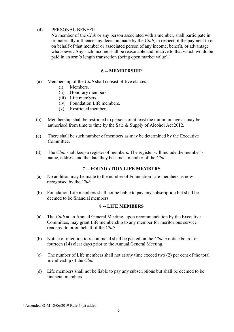# (d) PERSONAL BENEFIT

No member of the *Club* or any person associated with a member, shall participate in or materially influence any decision made by the *Club*, in respect of the payment to or on behalf of that member or associated person of any income, benefit, or advantage whatsoever. Any such income shall be reasonable and relative to that which would be paid in an arm's length transaction (being open market value).<sup>3</sup>

# **6 -- MEMBERSHIP**

- (a) Membership of the *Club* shall consist of five classes:
	- (i) Members.
	- (ii) Honorary members.
	- (iii) Life members.
	- (iv) Foundation Life members.
	- (v) Restricted members
- (b) Membership shall be restricted to persons of at least the minimum age as may be authorised from time to time by the Sale & Supply of Alcohol Act 2012.
- (c) There shall be such number of members as may be determined by the Executive Committee.
- (d) The *Club* shall keep a register of members. The register will include the member's name, address and the date they became a member of the *Club*.

# **7 -- FOUNDATION LIFE MEMBERS**

- (a) No addition may be made to the number of Foundation Life members as now recognised by the *Club*.
- (b) Foundation Life members shall not be liable to pay any subscription but shall be deemed to be financial members

# **8 -- LIFE MEMBERS**

- (a) The *Club* at an Annual General Meeting, upon recommendation by the Executive Committee, may grant Life membership to any member for meritorious service rendered to or on behalf of the *Club*.
- (b) Notice of intention to recommend shall be posted on the *Club's* notice board for fourteen (14) clear days prior to the Annual General Meeting.
- (c) The number of Life members shall not at any time exceed two (2) per cent of the total membership of the *Club*.
- (d) Life members shall not be liable to pay any subscriptions but shall be deemed to be financial members.

<sup>3</sup> Amended SGM 18/06/2019 Rule 5 (d) added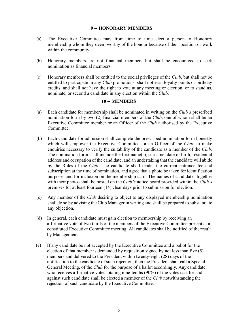#### **9 -- HONORARY MEMBERS**

- (a) The Executive Committee may from time to time elect a person to Honorary membership whom they deem worthy of the honour because of their position or work within the community.
- (b) Honorary members are not financial members but shall be encouraged to seek nomination as financial members.
- (c) Honorary members shall be entitled to the social privileges of the *Club*, but shall not be entitled to participate in any *Club* promotions, shall not earn loyalty points or birthday credits, and shall not have the right to vote at any meeting or election, or to stand as, nominate, or second a candidate in any election within the *Club*.

#### **10 -- MEMBERS**

- (a) Each candidate for membership shall be nominated in writing on the *Club's* prescribed nomination form by two (2) financial members of the *Club*, one of whom shall be an Executive Committee member or an Officer of the *Club* authorised by the Executive Committee.
- (b) Each candidate for admission shall complete the prescribed nomination form honestly which will empower the Executive Committee, or an Officer of the *Club*, to make enquiries necessary to verify the suitability of the candidate as a member of the *Club.*  The nomination form shall include the first name(s), surname, date of birth, residential address and occupation of the candidate, and an undertaking that the candidate will abide by the Rules of the *Club*. The candidate shall tender the current entrance fee and subscription at the time of nomination, and agree that a photo be taken for identification purposes and for inclusion on the membership card. The names of candidates together with their photos shall be posted on the *Club's* notice board provided within the *Club's*  premises for at least fourteen (14) clear days prior to submission for election.
- (c) Any member of the *Club* desiring to object to any displayed membership nomination shall do so by advising the Club Manager in writing and shall be prepared to substantiate any objection.
- (d) In general, each candidate must gain election to membership by receiving an affirmative vote of two thirds of the members of the Executive Committee present at a constituted Executive Committee meeting. All candidates shall be notified of the result by Management.
- (e) If any candidate be not accepted by the Executive Committee and a ballot for the election of that member is demanded by requisition signed by not less than five (5) members and delivered to the President within twenty-eight (28) days of the notification to the candidate of such rejection, then the President shall call a Special General Meeting, of the *Club* for the purpose of a ballot accordingly. Any candidate who receives affirmative votes totaling nine-tenths (90%) of the votes cast for and against such candidate shall be elected a member of the *Club* notwithstanding the rejection of such candidate by the Executive Committee.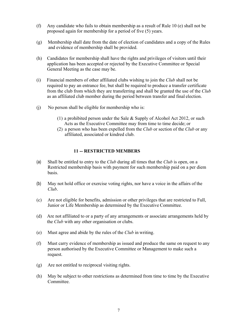- (f) Any candidate who fails to obtain membership as a result of Rule 10 (e) shall not be proposed again for membership for a period of five (5) years.
- (g) Membership shall date from the date of election of candidates and a copy of the Rules and evidence of membership shall be provided.
- (h) Candidates for membership shall have the rights and privileges of visitors until their application has been accepted or rejected by the Executive Committee or Special General Meeting as the case may be.
- (i) Financial members of other affiliated clubs wishing to join the *Club* shall not be required to pay an entrance fee, but shall be required to produce a transfer certificate from the club from which they are transferring and shall be granted the use of the *Club*  as an affiliated club member during the period between transfer and final election.
- (j) No person shall be eligible for membership who is:
	- (1) a prohibited person under the Sale & Supply of Alcohol Act 2012, or such Acts as the Executive Committee may from time to time decide; or
	- (2) a person who has been expelled from the *Club* or section of the *Club* or any affiliated, associated or kindred club.

#### **11 -- RESTRICTED MEMBERS**

- (a) Shall be entitled to entry to the *Club* during all times that the *Club* is open, on a Restricted membership basis with payment for such membership paid on a per diem basis.
- (b) May not hold office or exercise voting rights, nor have a voice in the affairs of the *Club*.
- (c) Are not eligible for benefits, admission or other privileges that are restricted to Full, Junior or Life Membership as determined by the Executive Committee.
- (d) Are not affiliated to or a party of any arrangements or associate arrangements held by the *Club* with any other organisation or clubs.
- (e) Must agree and abide by the rules of the *Club* in writing.
- (f) Must carry evidence of membership as issued and produce the same on request to any person authorised by the Executive Committee or Management to make such a request.
- (g) Are not entitled to reciprocal visiting rights.
- (h) May be subject to other restrictions as determined from time to time by the Executive Committee.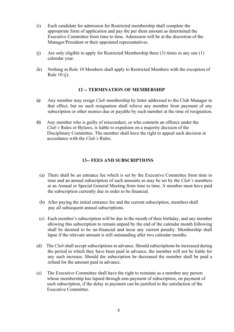- (i) Each candidate for admission for Restricted membership shall complete the appropriate form of application and pay the per diem amount as determined the Executive Committee from time to time. Admission will be at the discretion of the Manager/President or their appointed representatives.
- (j) Are only eligible to apply for Restricted Membership three (3) times in any one (1) calendar year.
- (k) Nothing in Rule 10 Members shall apply to Restricted Members with the exception of Rule 10 (j).

#### **12 -- TERMINATION OF MEMBERSHIP**

- (a) Any member may resign *Club* membership by letter addressed to the Club Manager to that effect, but no such resignation shall relieve any member from payment of any subscription or other monies due or payable by such member at the time of resignation.
- (b) Any member who is guilty of misconduct, or who commits an offence under the *Club's* Rules or Bylaws, is liable to expulsion on a majority decision of the Disciplinary Committee. The member shall have the right to appeal such decision in accordance with the *Club's* Rules.

#### **13-- FEES AND SUBSCRIPTIONS**

- (a) There shall be an entrance fee which is set by the Executive Committee from time to time and an annual subscription of such amounts as may be set by the *Club's* members at an Annual or Special General Meeting from time to time. A member must have paid the subscription currently due in order to be financial.
- (b) After paying the initial entrance fee and the current subscription, members shall pay all subsequent annual subscriptions.
- (c) Each member's subscription will be due in the month of their birthday, and any member allowing this subscription to remain unpaid by the end of the calendar month following shall be deemed to be un-financial and incur any current penalty. Membership shall lapse if the relevant amount is still outstanding after two calendar months.
- (d) The *Club* shall accept subscriptions in advance. Should subscriptions be increased during the period in which they have been paid in advance, the member will not be liable for any such increase. Should the subscription be decreased the member shall be paid a refund for the amount paid in advance.
- (e) The Executive Committee shall have the right to reinstate as a member any person whose membership has lapsed through non-payment of subscription, on payment of such subscription, if the delay in payment can be justified to the satisfaction of the Executive Committee.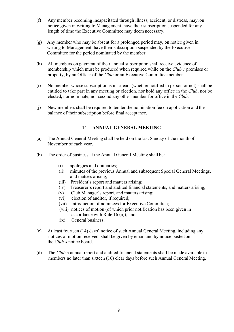- (f) Any member becoming incapacitated through illness, accident, or distress, may, on notice given in writing to Management, have their subscription suspended for any length of time the Executive Committee may deem necessary.
- (g) Any member who may be absent for a prolonged period may, on notice given in writing to Management, have their subscription suspended by the Executive Committee for the period nominated by the member.
- (h) All members on payment of their annual subscription shall receive evidence of membership which must be produced when required while on the *Club's* premises or property, by an Officer of the *Club* or an Executive Committee member.
- (i) No member whose subscription is in arrears (whether notified in person or not) shall be entitled to take part in any meeting or election, nor hold any office in the *Club*, nor be elected, nor nominate, nor second any other member for office in the *Club*.
- (j) New members shall be required to tender the nomination fee on application and the balance of their subscription before final acceptance.

# **14 -- ANNUAL GENERAL MEETING**

- (a) The Annual General Meeting shall be held on the last Sunday of the month of November of each year.
- (b) The order of business at the Annual General Meeting shall be:
	- (i) apologies and obituaries;
	- (ii) minutes of the previous Annual and subsequent Special General Meetings, and matters arising;
	- (iii) President's report and matters arising;
	- (iv) Treasurer's report and audited financial statements, and matters arising;
	- (v) Club Manager's report, and matters arising;
	- (vi) election of auditor, if required;
	- (vii) introduction of nominees for Executive Committee;
	- (viii) notices of motion (of which prior notification has been given in accordance with Rule 16 (a)); and
	- (ix) General business.
- (c) At least fourteen (14) days' notice of such Annual General Meeting, including any notices of motion received, shall be given by email and by notice posted on the *Club's* notice board.
- (d) The *Club's* annual report and audited financial statements shall be made available to members no later than sixteen (16) clear days before such Annual General Meeting.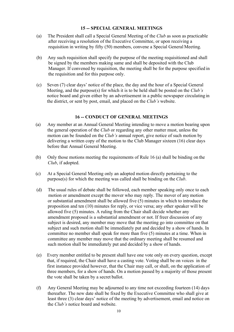### **15 -- SPECIAL GENERAL MEETINGS**

- (a) The President shall call a Special General Meeting of the *Club* as soon as practicable after receiving a resolution of the Executive Committee, or upon receiving a requisition in writing by fifty (50) members, convene a Special General Meeting.
- (b) Any such requisition shall specify the purpose of the meeting requisitioned and shall be signed by the members making same and shall be deposited with the Club Manager. If convened by requisition, the meeting shall be for the purpose specified in the requisition and for this purpose only.
- (c) Seven (7) clear days' notice of the place, the day and the hour of a Special General Meeting, and the purpose(s) for which it is to be held shall be posted on the *Club's*  notice board and given either by an advertisement in a public newspaper circulating in the district, or sent by post, email, and placed on the *Club's* website.

#### **16 -- CONDUCT OF GENERAL MEETINGS**

- (a) Any member at an Annual General Meeting intending to move a motion bearing upon the general operation of the *Club* or regarding any other matter must, unless the motion can be founded on the *Club's* annual report, give notice of such motion by delivering a written copy of the motion to the Club Manager sixteen (16) clear days before that Annual General Meeting.
- (b) Only those motions meeting the requirements of Rule 16 (a) shall be binding on the *Club*, if adopted.
- (c) At a Special General Meeting only an adopted motion directly pertaining to the purpose(s) for which the meeting was called shall be binding on the *Club*.
- (d) The usual rules of debate shall be followed, each member speaking only once to each motion or amendment except the mover who may reply. The mover of any motion or substantial amendment shall be allowed five (5) minutes in which to introduce the proposition and ten (10) minutes for reply, or vice versa; any other speaker will be allowed five (5) minutes. A ruling from the Chair shall decide whether any amendment proposed is a substantial amendment or not. If freer discussion of any subject is desired, any member may move that the meeting go into committee on that subject and such motion shall be immediately put and decided by a show of hands. In committee no member shall speak for more than five (5) minutes at a time. When in committee any member may move that the ordinary meeting shall be resumed and such motion shall be immediately put and decided by a show of hands.
- (e) Every member entitled to be present shall have one vote only on every question, except that, if required, the Chair shall have a casting vote. Voting shall be on voices in the first instance provided however, that the Chair may call, or shall, on the application of three members, for a show of hands. On a motion passed by a majority of those present the vote shall be taken by a secret ballot.
- (f) Any General Meeting may be adjourned to any time not exceeding fourteen (14) days thereafter. The new date shall be fixed by the Executive Committee who shall give at least three (3) clear days' notice of the meeting by advertisement, email and notice on the *Club's* notice board and website.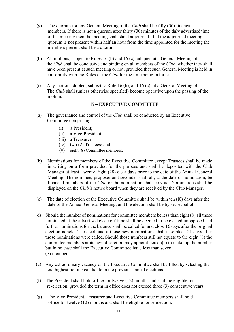- (g) The quorum for any General Meeting of the *Club* shall be fifty (50) financial members. If there is not a quorum after thirty (30) minutes of the duly advertised time of the meeting then the meeting shall stand adjourned. If at the adjourned meeting a quorum is not present within half an hour from the time appointed for the meeting the members present shall be a quorum.
- (h) All motions, subject to Rules 16 (b) and 16 (c), adopted at a General Meeting of the *Club* shall be conclusive and binding on all members of the *Club*, whether they shall have been present at such meeting or not, provided that such General Meeting is held in conformity with the Rules of the *Club* for the time being in force.
- (i) Any motion adopted, subject to Rule 16 (b), and 16 (c), at a General Meeting of The *Club* shall (unless otherwise specified) become operative upon the passing of the motion.

#### **17-- EXECUTIVE COMMITTEE**

- (a) The governance and control of the *Club* shall be conducted by an Executive Committee comprising:
	- (i) a President;
	- (ii) a Vice-President;
	- (iii) a Treasurer;
	- (iv) two (2) Trustees; and
	- (v) eight (8) Committee members.
- (b) Nominations for members of the Executive Committee except Trustees shall be made in writing on a form provided for the purpose and shall be deposited with the Club Manager at least Twenty Eight (28) clear days prior to the date of the Annual General Meeting. The nominee, proposer and seconder shall all, at the date of nomination, be financial members of the *Club* or the nomination shall be void. Nominations shall be displayed on the *Club's* notice board when they are received by the Club Manager.
- (c) The date of election of the Executive Committee shall be within ten (l0) days after the date of the Annual General Meeting, and the election shall be by secret ballot.
- (d) Should the number of nominations for committee members be less than eight (8) all those nominated at the advertised close off time shall be deemed to be elected unopposed and further nominations for the balance shall be called for and close 16 days after the original election is held. The elections of those new nominations shall take place 21 days after those nominations were called. Should those numbers still not equate to the eight (8) the committee members at its own discretion may appoint person(s) to make up the number but in no case shall the Executive Committee have less than seven (7) members.
- (e) Any extraordinary vacancy on the Executive Committee shall be filled by selecting the next highest polling candidate in the previous annual elections.
- (f) The President shall hold office for twelve (12) months and shall be eligible for re-election, provided the term in office does not exceed three (3) consecutive years.
- (g) The Vice-President, Treasurer and Executive Committee members shall hold office for twelve (12) months and shall be eligible for re-election.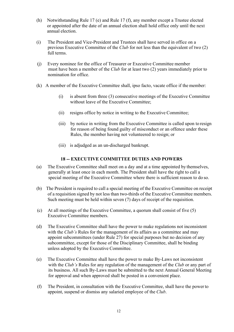- (h) Notwithstanding Rule 17 (e) and Rule 17 (f), any member except a Trustee elected or appointed after the date of an annual election shall hold office only until the next annual election.
- (i) The President and Vice-President and Trustees shall have served in office on a previous Executive Committee of the *Club* for not less than the equivalent of two (2) full terms.
- (j) Every nominee for the office of Treasurer or Executive Committee member must have been a member of the *Club* for at least two (2) years immediately prior to nomination for office.
- (k) A member of the Executive Committee shall, ipso facto, vacate office if the member:
	- (i) is absent from three (3) consecutive meetings of the Executive Committee without leave of the Executive Committee;
	- (ii) resigns office by notice in writing to the Executive Committee;
	- (iii) by notice in writing from the Executive Committee is called upon to resign for reason of being found guilty of misconduct or an offence under these Rules, the member having not volunteered to resign; or
	- (iii) is adjudged as an un-discharged bankrupt.

#### **18 -- EXECUTIVE COMMITTEE DUTIES AND POWERS**

- (a) The Executive Committee shall meet on a day and at a time appointed by themselves, generally at least once in each month. The President shall have the right to call a special meeting of the Executive Committee where there is sufficient reason to do so.
- (b) The President is required to call a special meeting of the Executive Committee on receipt of a requisition signed by not less than two-thirds of the Executive Committee members. Such meeting must be held within seven (7) days of receipt of the requisition.
- (c) At all meetings of the Executive Committee, a quorum shall consist of five (5) Executive Committee members.
- (d) The Executive Committee shall have the power to make regulations not inconsistent with the *Club's* Rules for the management of its affairs as a committee and may appoint subcommittees (under Rule 27) for special purposes but no decision of any subcommittee, except for those of the Disciplinary Committee, shall be binding unless adopted by the Executive Committee.
- (e) The Executive Committee shall have the power to make By-Laws not inconsistent with the *Club's* Rules for any regulation of the management of the *Club* or any part of its business. All such By-Laws must be submitted to the next Annual General Meeting for approval and when approved shall be posted in a convenient place.
- (f) The President, in consultation with the Executive Committee, shall have the powerto appoint, suspend or dismiss any salaried employee of the *Club*.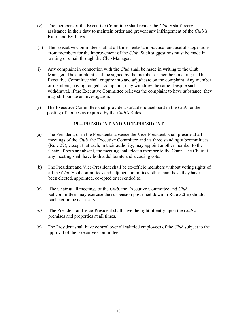- (g) The members of the Executive Committee shall render the *Club's* staff every assistance in their duty to maintain order and prevent any infringement of the *Club's*  Rules and By-Laws.
- (h) The Executive Committee shall at all times, entertain practical and useful suggestions from members for the improvement of the *Club*. Such suggestions must be made in writing or email through the Club Manager.
- (i) Any complaint in connection with the *Club* shall be made in writing to the Club Manager. The complaint shall be signed by the member or members making it. The Executive Committee shall enquire into and adjudicate on the complaint. Any member or members, having lodged a complaint, may withdraw the same. Despite such withdrawal, if the Executive Committee believes the complaint to have substance, they may still pursue an investigation.
- (i) The Executive Committee shall provide a suitable noticeboard in the *Club* for the posting of notices as required by the *Club's* Rules.

# **19 -- PRESIDENT AND VICE-PRESIDENT**

- (a) The President, or in the President's absence the Vice-President, shall preside at all meetings of the *Club,* the Executive Committee and its three standing subcommittees (Rule 27), except that each, in their authority, may appoint another member to the Chair. If both are absent, the meeting shall elect a member to the Chair. The Chair at any meeting shall have both a deliberate and a casting vote.
- (b) The President and Vice-President shall be ex-officio members without voting rights of all the *Club's* subcommittees and adjunct committees other than those they have been elected, appointed, co-opted or seconded to.
- (c) The Chair at all meetings of the *Club,* the Executive Committee and *Club*  subcommittees may exercise the suspension power set down in Rule 32(m) should such action be necessary.
- *(d)* The President and Vice-President shall have the right of entry upon the *Club's* premises and properties at all times.
- (e) The President shall have control over all salaried employees of the *Club* subject to the approval of the Executive Committee.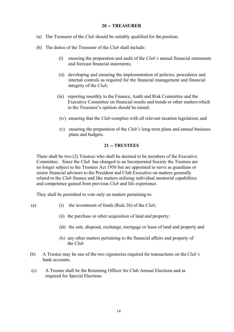#### **20 -- TREASURER**

- (a) The Treasurer of the *Club* should be suitably qualified for the position.
- (b) The duties of the Treasurer of the *Club* shall include:
	- (i) ensuring the preparation and audit of the *Club's* annual financial statements and forecast financial statements;
	- (ii) developing and ensuring the implementation of policies, procedures and internal controls as required for the financial management and financial integrity of the *Club*;
	- (iii) reporting monthly to the Finance, Audit and Risk Committee and the Executive Committee on financial results and trends or other matters which in the Treasurer's opinion should be raised;
	- (iv) ensuring that the *Club* complies with all relevant taxation legislation; and
	- (v) ensuring the preparation of the *Club's* long-term plans and annual business plans and budgets.

#### **21 -- TRUSTEES**

There shall be two (2) Trustees who shall be deemed to be members of the Executive Committee, Since the *Club* has changed to an Incorporated Society the Trustees are no longer subject to the Trustees Act 1956 but are appointed to serve as guardians or senior financial advisors to the President and Club Executive on matters generally related to the *Club* finance and like matters utilising individual mentorial capabilities and competence gained from previous *Club* and life experience.

They shall be permitted to vote only on matters pertaining to:

- (a) (i) the investment of funds (Rule 26) of the *Club*;
	- (ii) the purchase or other acquisition of land and property;
	- (iii) the sale, disposal, exchange, mortgage or lease of land and property and
	- *(iv)* any other matters pertaining to the financial affairs and property of the *Club*
- (b) A Trustee may be one of the two signatories required for transactions on the *Club's* bank accounts.
- (c) A Trustee shall be the Returning Officer for Club Annual Elections and as required for Special Elections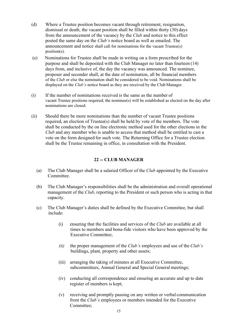- (d) Where a Trustee position becomes vacant through retirement, resignation, dismissal or death, the vacant position shall be filled within thirty (30) days from the announcement of the vacancy by the *Club* and notice to this effect posted the same day on the *Club's* notice board as well as emailed. The announcement and notice shall call for nominations for the vacant Trustee(s) position(s).
- (e) Nominations for Trustee shall be made in writing on a form prescribed for the purpose and shall be deposited with the Club Manager no later than fourteen (14) days from, and inclusive of, the day the vacancy was announced. The nominee, proposer and seconder shall, at the date of nomination, all be financial members of the *Club* or else the nomination shall be considered to be void. Nominations shall be displayed on the *Club's* notice board as they are received by the Club Manager.
- (i) If the number of nominations received is the same as the number of vacant Trustee positions required; the nominee(s) will be established as elected on the day after nominations are closed.
- (ii) Should there be more nominations than the number of vacant Trustee positions required, an election of Trustee(s) shall be held by vote of the members. The vote shall be conducted by the on line electronic method used for the other elections in the *Club* and any member who is unable to access that method shall be entitled to cast a vote on the form designed for such vote. The Returning Office for a Trustee election shall be the Trustee remaining in office, in consultation with the President.

# **22 -- CLUB MANAGER**

- (a) The Club Manager shall be a salaried Officer of the *Club* appointed by the Executive Committee.
- (b) The Club Manager's responsibilities shall be the administration and overall operational management of the *Club*, reporting to the President or such person who is acting in that capacity.
- (c) The Club Manager's duties shall be defined by the Executive Committee, but shall include:
	- (i) ensuring that the facilities and services of the *Club* are available at all times to members and bona-fide visitors who have been approved by the Executive Committee;
	- *(ii)* the proper management of the *Club's* employees and use of the *Club's* buildings, plant, property and other assets;
	- (iii) arranging the taking of minutes at all Executive Committee, subcommittees, Annual General and Special General meetings;
	- (iv) conducting all correspondence and ensuring an accurate and up to date register of members is kept;
	- (v) receiving and promptly passing on any written or verbal communication from the *Club's* employees or members intended for the Executive Committee;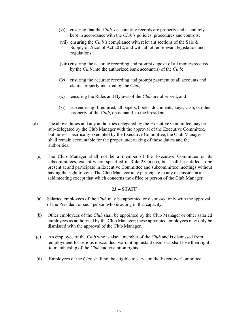- (vi) ensuring that the *Club's* accounting records are properly and accurately kept in accordance with the *Club's* policies, procedures and controls;
- (vii) ensuring the *Club's* compliance with relevant sections of the Sale & Supply of Alcohol Act 2012, and with all other relevant legislation and regulations:
- (viii) ensuring the accurate recording and prompt deposit of all moniesreceived by the *Club* into the authorized bank account(s) of the *Club*;
- *(ix)* ensuring the accurate recording and prompt payment of all accounts and claims properly incurred by the *Club;*
- (x) ensuring the Rules and Bylaws of the *Club* are observed; and
- (xi) surrendering if required, all papers, books, documents, keys, cash, or other property of the *Club*, on demand, to the President.
- (d) The above duties and any authorities delegated by the Executive Committee may be sub-delegated by the Club Manager with the approval of the Executive Committee, but unless specifically exempted by the Executive Committee, the Club Manager shall remain accountable for the proper undertaking of those duties and the authorities.
	- (e) The Club Manager shall not be a member of the Executive Committee or its subcommittees, except where specified in Rule 28 (a) (i), but shall be entitled to be present at and participate in Executive Committee and subcommittee meetings without having the right to vote. The Club Manager may participate in any discussion at a said meeting except that which concerns the office or person of the Club Manager.

#### **23 -- STAFF**

- (a) Salaried employees of the *Club* may be appointed or dismissed only with the approval of the President or such person who is acting in that capacity.
- (b) Other employees of the *Club* shall be appointed by the Club Manager or other salaried employees as authorized by the Club Manager; these appointed employees may only be dismissed with the approval of the Club Manager.
- (c) An employee of the *Club* who is also a member of the *Club* and is dismissed from employment for serious misconduct warranting instant dismissal shall lose theirright to membership of the *Club* and visitation rights.
- (d) Employees of the *Club* shall not be eligible to serve on the Executive Committee.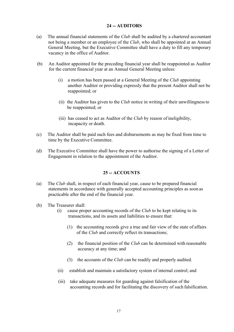### **24 -- AUDITORS**

- (a) The annual financial statements of the *Club* shall be audited by a chartered accountant not being a member or an employee of the *Club*, who shall be appointed at an Annual General Meeting, but the Executive Committee shall have a duty to fill any temporary vacancy in the office of Auditor.
- (b) An Auditor appointed for the preceding financial year shall be reappointed as Auditor for the current financial year at an Annual General Meeting unless:
	- (i) a motion has been passed at a General Meeting of the *Club* appointing another Auditor or providing expressly that the present Auditor shall not be reappointed; or
	- (ii) the Auditor has given to the *Club* notice in writing of their unwillingnessto be reappointed; or
	- (iii) has ceased to act as Auditor of the *Club* by reason of ineligibility, incapacity or death.
- (c) The Auditor shall be paid such fees and disbursements as may be fixed from time to time by the Executive Committee.
- (d) The Executive Committee shall have the power to authorise the signing of a Letter of Engagement in relation to the appointment of the Auditor.

#### **25 -- ACCOUNTS**

- (a) The *Club* shall, in respect of each financial year, cause to be prepared financial statements in accordance with generally accepted accounting principles as soon as practicable after the end of the financial year.
- (b) The Treasurer shall:
	- (i) cause proper accounting records of the *Club* to be kept relating to its transactions, and its assets and liabilities to ensure that:
		- (1) the accounting records give a true and fair view of the state of affairs of the *Club* and correctly reflect its transactions;
		- (2) the financial position of the *Club* can be determined with reasonable accuracy at any time; and
		- (3) the accounts of the *Club* can be readily and properly audited.
	- (ii) establish and maintain a satisfactory system of internal control; and
	- (iii) take adequate measures for guarding against falsification of the accounting records and for facilitating the discovery of such falsification.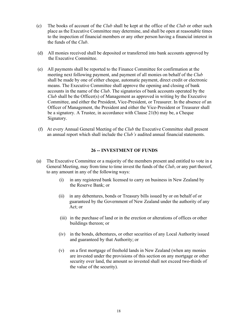- (c) The books of account of the *Club* shall be kept at the office of the *Club* or other such place as the Executive Committee may determine, and shall be open at reasonable times to the inspection of financial members or any other person having a financial interest in the funds of the *Club*.
- (d) All monies received shall be deposited or transferred into bank accounts approved by the Executive Committee.
- (e) All payments shall be reported to the Finance Committee for confirmation at the meeting next following payment, and payment of all monies on behalf of the *Club*  shall be made by one of either cheque, automatic payment, direct credit or electronic means. The Executive Committee shall approve the opening and closing of bank accounts in the name of the *Club*. The signatories of bank accounts operated by the *Club* shall be the Officer(s) of Management as approved in writing by the Executive Committee, and either the President, Vice-President, or Treasurer. In the absence of an Officer of Management, the President and either the Vice-President or Treasurer shall be a signatory. A Trustee, in accordance with Clause 21(b) may be, a Cheque Signatory.
- (f) At every Annual General Meeting of the *Club* the Executive Committee shall present an annual report which shall include the *Club's* audited annual financial statements.

#### **26 -- INVESTMENT OF FUNDS**

- (a) The Executive Committee or a majority of the members present and entitled to vote in a General Meeting, may from time to time invest the funds of the *Club*, or any part thereof, to any amount in any of the following ways:
	- (i) in any registered bank licensed to carry on business in New Zealand by the Reserve Bank; or
	- (ii) in any debentures, bonds or Treasury bills issued by or on behalf of or guaranteed by the Government of New Zealand under the authority of any Act; or
	- (iii) in the purchase of land or in the erection or alterations of offices or other buildings thereon; or
	- (iv) in the bonds, debentures, or other securities of any Local Authority issued and guaranteed by that Authority; or
	- (v) on a first mortgage of freehold lands in New Zealand (when any monies are invested under the provisions of this section on any mortgage or other security over land, the amount so invested shall not exceed two-thirds of the value of the security).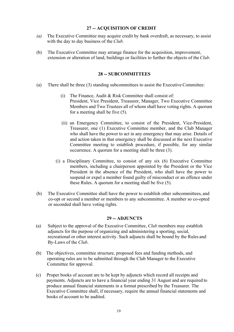#### **27 -- ACQUISITION OF CREDIT**

- *(a)* The Executive Committee may acquire credit by bank overdraft, as necessary, to assist with the day to day business of the *Club.*
- (b) The Executive Committee may arrange finance for the acquisition, improvement, extension or alteration of land, buildings or facilities to further the objects of the *Club*.

#### **28 -- SUBCOMMITTEES**

- (a) There shall be three (3) standing subcommittees to assist the Executive Committee:
	- (i) The Finance, Audit & Risk Committee shall consist of: President, Vice President, Treasurer, Manager, Two Executive Committee Members and Two Trustees all of whom shall have voting rights. A quorum for a meeting shall be five (5).
	- (ii) an Emergency Committee, to consist of the President, Vice-President, Treasurer, one (1) Executive Committee member, and the Club Manager who shall have the power to act in any emergency that may arise. Details of and action taken in that emergency shall be discussed at the next Executive Committee meeting to establish procedure, if possible, for any similar occurrence. A quorum for a meeting shall be three (3).
	- (i) a Disciplinary Committee, to consist of any six (6) Executive Committee members, including a chairperson appointed by the President or the Vice President in the absence of the President, who shall have the power to suspend or expel a member found guilty of misconduct or an offence under these Rules. A quorum for a meeting shall be five (5).
- (b) The Executive Committee shall have the power to establish other subcommittees, and co-opt or second a member or members to any subcommittee. A member so co-opted or seconded shall have voting rights.

#### **29 -- ADJUNCTS**

- (a) Subject to the approval of the Executive Committee, *Club* members may establish adjuncts for the purpose of organizing and administering a sporting, social, recreational or other interest activity. Such adjuncts shall be bound by the Rules and By-Laws of the *Club*.
- (b) The objectives, committee structure, proposed fees and funding methods, and operating rules are to be submitted through the Club Manager to the Executive Committee for approval.
- (c) Proper books of account are to be kept by adjuncts which record all receipts and payments. Adjuncts are to have a financial year ending 31 August and are required to produce annual financial statements in a format prescribed by the Treasurer. The Executive Committee shall, if necessary, require the annual financial statements and books of account to be audited.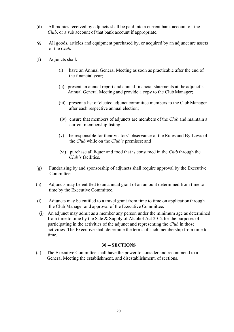- (d) All monies received by adjuncts shall be paid into a current bank account of the *Club*, or a sub account of that bank account if appropriate.
- *(e)* All goods, articles and equipment purchased by, or acquired by an adjunct are assets of the *Club.*
- (f) Adjuncts shall:
	- (i) have an Annual General Meeting as soon as practicable after the end of the financial year;
	- (ii) present an annual report and annual financial statements at the adjunct's Annual General Meeting and provide a copy to the Club Manager;
	- (iii) present a list of elected adjunct committee members to the Club Manager after each respective annual election;
	- (iv) ensure that members of adjuncts are members of the *Club* and maintain a current membership listing;
	- (v) be responsible for their visitors' observance of the Rules and By-Laws of the *Club* while on the *Club's* premises; and
	- (vi) purchase all liquor and food that is consumed in the *Club* through the *Club's* facilities.
- (g) Fundraising by and sponsorship of adjuncts shall require approval by the Executive Committee.
- (h) Adjuncts may be entitled to an annual grant of an amount determined from time to time by the Executive Committee.
- (i) Adjuncts may be entitled to a travel grant from time to time on application through the Club Manager and approval of the Executive Committee.
- (j) An adjunct may admit as a member any person under the minimum age as determined from time to time by the Sale & Supply of Alcohol Act 2012 for the purposes of participating in the activities of the adjunct and representing the *Club* in those activities. The Executive shall determine the terms of such membership from time to time.

#### **30 -- SECTIONS**

(a) The Executive Committee shall have the power to consider and recommend to a General Meeting the establishment, and disestablishment, of sections.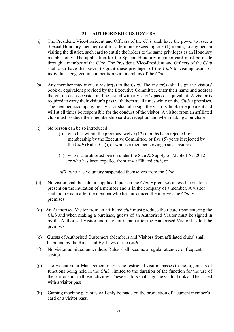#### **31 -- AUTHORISED CUSTOMERS**

- (a) The President, Vice-President and Officers of the *Club* shall have the power to issue a Special Honorary member card for a term not exceeding one (1) month, to any person visiting the district, such card to entitle the holder to the same privileges as an Honorary member only. The application for the Special Honorary member card must be made through a member of the *Club*. The President, Vice-President and Officers of the *Club*  shall also have the power to grant these privileges of the *Club* to visiting teams or individuals engaged in competition with members of the *Club*.
- (b) Any member may invite a visitor(s) to the *Club*. The visitor(s) shall sign the visitors' book or equivalent provided by the Executive Committee, enter their name and address therein on each occasion and be issued with a visitor's pass or equivalent. A visitor is required to carry their visitor's pass with them at all times while on the *Club's* premises. The member accompanying a visitor shall also sign the visitors' book or equivalent and will at all times be responsible for the conduct of the visitor. A visitor from an affiliated club must produce their membership card at reception and when making a purchase.
- (c) No person can be so introduced:
	- (i) who has within the previous twelve (12) months been rejected for membership by the Executive Committee, or five (5) years if rejected by the *Club* (Rule 10(f)), or who is a member serving a suspension; or
	- (ii) who is a prohibited person under the Sale & Supply of Alcohol Act 2012. or who has been expelled from any affiliated *club*; or
	- *(iii)* who has voluntary suspended themselves from the *Club.*
- (c) No visitor shall be sold or supplied liquor on the *Club's* premises unless the visitor is present on the invitation of a member and is in the company of a member. A visitor shall not remain after the member who has introduced them leaves the *Club's*  premises.
- (d) An Authorised Visitor from an affiliated *club* must produce their card upon entering the *Club* and when making a purchase, guests of an Authorised Visitor must be signed in by the Authorised Visitor and may not remain after the Authorised Visitor has left the premises.
- (e) Guests of Authorised Customers (Members and Visitors from affiliated clubs) shall be bound by the Rules and By-Laws of the *Club*.
- (f) No visitor admitted under these Rules shall become a regular attendee or frequent visitor.
- (g) The Executive or Management may issue restricted visitors passes to the organisers of functions being held in the *Club,* limited to the duration of the function for the use of the participants in those activities. These visitors shall sign the visitor book and be issued with a visitor pass
- (h) Gaming machine pay-outs will only be made on the production of a current member's card or a visitor pass.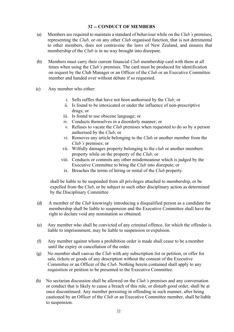# **32 -- CONDUCT OF MEMBERS**

- (a) Members are required to maintain a standard of behaviour while on the *Club's* premises, representing the *Club,* or on any other *Club* organised function, that is not detrimental to other members, does not contravene the laws of New Zealand, and ensures that membership of the *Club* is in no way brought into disrepute.
- (b) Members must carry their current financial *Club* membership card with them at all times when using the *Club's* premises. The card must be produced for identification on request by the Club Manager or an Officer of the *Club* or an Executive Committee member and handed over without debate if so requested.
- (c) Any member who either:
	- i. Sells raffles that have not been authorised by the *Club;* or
	- ii. Is found to be intoxicated or under the influence of non-prescriptive drugs; or
	- iii. Is found to use obscene language; or
	- iv. Conducts themselves in a disorderly manner; or
	- v. Refuses to vacate the *Club* premises when requested to do so by a person authorised by the *Club;* or
	- vi. Removes any article belonging to the *Club* or another member from the *Club's* premises; or
	- vii. Wilfully damages property belonging to the *club* or another members property while on the property of the *Club;* or
	- viii. Conducts or commits any other misdemeanour which is judged by the Executive Committee to bring the *Club* into disrepute; or
		- ix. Breaches the terms of hiring or rental of the *Club* property.

shall be liable to be suspended from all privileges attached to membership, or be expelled from the *Club*, or be subject to such other disciplinary action as determined by the Disciplinary Committee

- (d) A member of the *Club* knowingly introducing a disqualified person as a candidate for membership shall be liable to suspension and the Executive Committee shall have the right to declare void any nomination so obtained.
- (e) Any member who shall be convicted of any criminal offence, for which the offender is liable to imprisonment, may be liable to suspension or expulsion.
- (f) Any member against whom a prohibition order is made shall cease to be a member until the expiry or cancellation of the order.
- (g) No member shall canvas the *Club* with any subscription list or petition, or offer for sale, tickets or goods of any description without the consent of the Executive Committee or an Officer of the *Club*. Nothing herein contained shall apply to any requisition or petition to be presented to the Executive Committee.
- (h) No sectarian discussion shall be allowed on the *Club's* premises and any conversation or conduct that is likely to cause a breach of this rule, or disturb good order, shall be at once discontinued. Any member persisting in offending in such manner, after being cautioned by an Officer of the *Club* or an Executive Committee member, shall be liable to suspension.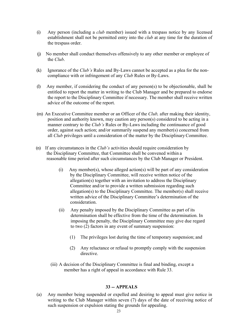- (i) Any person (including a *club* member) issued with a trespass notice by any licensed establishment shall not be permitted entry into the *club* at any time for the duration of the trespass order.
- (j) No member shall conduct themselves offensively to any other member or employee of the *Club*.
- (k) Ignorance of the *Club's* Rules and By-Laws cannot be accepted as a plea for the noncompliance with or infringement of any *Club* Rules or By-Laws.
- (l) Any member, if considering the conduct of any person(s) to be objectionable, shall be entitled to report the matter in writing to the Club Manager and be prepared to endorse the report to the Disciplinary Committee if necessary. The member shall receive written advice of the outcome of the report.
- (m) An Executive Committee member or an Officer of the *Club,* after making their identity, position and authority known, may caution any person(s) considered to be acting in a manner contrary to the *Club's* Rules or By-Laws including the continuance of good order, against such action; and/or summarily suspend any member(s) concerned from all *Club* privileges until a consideration of the matter by the Disciplinary Committee.
- (n) If any circumstances in the *Club's* activities should require consideration by the Disciplinary Committee, that Committee shall be convened within a reasonable time period after such circumstances by the Club Manager or President.
	- (i) Any member(s), whose alleged action(s) will be part of any consideration by the Disciplinary Committee, will receive written notice of the allegation(s) together with an invitation to address the Disciplinary Committee and/or to provide a written submission regarding such allegation(s) to the Disciplinary Committee. The member(s) shall receive written advice of the Disciplinary Committee's determination of the consideration.
	- (ii) Any penalty imposed by the Disciplinary Committee as part of its determination shall be effective from the time of the determination. In imposing the penalty, the Disciplinary Committee may give due regard to two (2) factors in any event of summary suspension:
		- (1) The privileges lost during the time of temporary suspension; and
		- (2) Any reluctance or refusal to promptly comply with the suspension directive.
	- (iii) A decision of the Disciplinary Committee is final and binding, except a member has a right of appeal in accordance with Rule 33.

#### **33 -- APPEALS**

(a) Any member being suspended or expelled and desiring to appeal must give notice in writing to the Club Manager within seven (7) days of the date of receiving notice of such suspension or expulsion stating the grounds for appealing.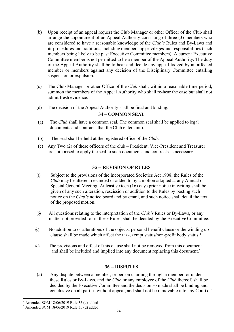- (b) Upon receipt of an appeal request the Club Manager or other Officer of the Club shall arrange the appointment of an Appeal Authority consisting of three (3) members who are considered to have a reasonable knowledge of the *Club's* Rules and By-Laws and its procedures and traditions, including membership privileges and responsibilities (such members being likely to be past Executive Committee members). A current Executive Committee member is not permitted to be a member of the Appeal Authority. The duty of the Appeal Authority shall be to hear and decide any appeal lodged by an affected member or members against any decision of the Disciplinary Committee entailing suspension or expulsion.
- (c) The Club Manager or other Office of the *Club* shall, within a reasonable time period, summon the members of the Appeal Authority who shall re-hear the case but shall not admit fresh evidence.
- (d) The decision of the Appeal Authority shall be final and binding.

# **34 – COMMON SEAL**

- (a) The *Club* shall have a common seal. The common seal shall be applied to legal documents and contracts that the Club enters into.
- (b) The seal shall be held at the registered office of the *Club*.
- (c) Any Two (2) of these officers of the club President, Vice-President and Treasurer are authorised to apply the seal to such documents and contracts as necessary .

# **35 -- REVISION OF RULES**

- (a) Subject to the provisions of the Incorporated Societies Act 1908, the Rules of the *Club* may be altered, rescinded or added to by a motion adopted at any Annual or Special General Meeting. At least sixteen (16) days prior notice in writing shall be given of any such alteration, rescission or addition to the Rules by posting such notice on the *Club's* notice board and by email, and such notice shall detail the text of the proposed motion.
- (b) All questions relating to the interpretation of the *Club's* Rules or By-Laws, or any matter not provided for in these Rules, shall be decided by the Executive Committee.
- (c) No addition to or alterations of the objects, personal benefit clause or the winding up clause shall be made which affect the tax-exempt status/non-profit body status.4
- (d) The provisions and effect of this clause shall not be removed from this document and shall be included and implied into any document replacing this document.<sup>5</sup>

# **36 -- DISPUTES**

(a) Any dispute between a member, or person claiming through a member, or under these Rules or By-Laws, and the *Club* or any employee of the *Club* thereof, shall be decided by the Executive Committee and the decision so made shall be binding and conclusive on all parties without appeal, and shall not be removable into any Court of

<sup>4</sup> Amended SGM 18/06/2019 Rule 35 (c) added

<sup>5</sup> Amended SGM 18/06/2019 Rule 35 (d) added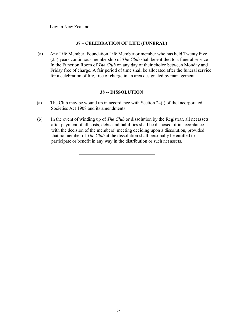Law in New Zealand.

#### **37 – CELEBRATION OF LIFE (FUNERAL)**

(a) Any Life Member, Foundation Life Member or member who has held Twenty Five (25) years continuous membership of *The Club* shall be entitled to a funeral service In the Function Room of *The Club* on any day of their choice between Monday and Friday free of charge. A fair period of time shall be allocated after the funeral service for a celebration of life, free of charge in an area designated by management.

#### **38 -- DISSOLUTION**

- (a) The Club may be wound up in accordance with Section 24(l) of the Incorporated Societies Act 1908 and its amendments.
- (b) In the event of winding up of *The Club* or dissolution by the Registrar, all net assets after payment of all costs, debts and liabilities shall be disposed of in accordance with the decision of the members' meeting deciding upon a dissolution, provided that no member of *The Club* at the dissolution shall personally be entitled to participate or benefit in any way in the distribution or such net assets.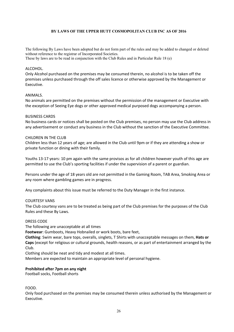#### **BY LAWS OF THE UPPER HUTT COSMOPOLITAN CLUB INC AS OF 2016**

The following By Laws have been adopted but do not form part of the rules and may be added to changed or deleted without reference to the registrar of Incorporated Societies. These by laws are to be read in conjunction with the Club Rules and in Particular Rule 18 (e)

#### ALCOHOL.

Only Alcohol purchased on the premises may be consumed therein, no alcohol is to be taken off the premises unless purchased through the off sales licence or otherwise approved by the Management or Executive.

#### ANIMALS.

No animals are permitted on the premises without the permission of the management or Executive with the exception of Seeing Eye dogs or other approved medical purposed dogs accompanying a person.

#### BUSINESS CARDS

No business cards or notices shall be posted on the Club premises, no person may use the Club address in any advertisement or conduct any business in the Club without the sanction of the Executive Committee.

#### CHILDREN IN THE CLUB

Children less than 12 years of age; are allowed in the Club until 9pm or if they are attending a show or private function or dining with their family.

Youths 13-17 years: 10 pm again with the same provisos as for all children however youth of this age are permitted to use the Club's sporting facilities if under the supervision of a parent or guardian.

Persons under the age of 18 years old are not permitted in the Gaming Room, TAB Area, Smoking Area or any room where gambling games are in progress.

Any complaints about this issue must be referred to the Duty Manager in the first instance.

#### COURTESY VANS

The Club courtesy vans are to be treated as being part of the Club premises for the purposes of the Club Rules and these By Laws.

#### DRESS CODE

The following are unacceptable at all times

**Footwear**: Gumboots, Heavy Hobnailed or work boots, bare feet,

**Clothing**: Swim wear, bare tops, overalls, singlets, T Shirts with unacceptable messages on them, **Hats or Caps** (except for religious or cultural grounds, health reasons, or as part of entertainment arranged by the Club.

Clothing should be neat and tidy and modest at all times.

Members are expected to maintain an appropriate level of personal hygiene.

#### **Prohibited after 7pm on any night**

Football socks, Football shorts

FOOD.

Only food purchased on the premises may be consumed therein unless authorised by the Management or Executive.